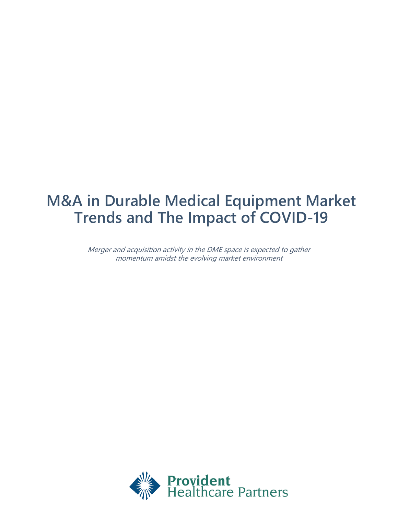# **M&A in Durable Medical Equipment Market Trends and The Impact of COVID-19**

Merger and acquisition activity in the DME space is expected to gather momentum amidst the evolving market environment

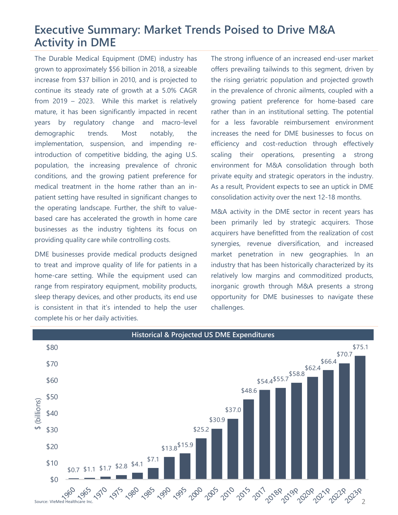# **Executive Summary: Market Trends Poised to Drive M&A Activity in DME**

The Durable Medical Equipment (DME) industry has grown to approximately \$56 billion in 2018, a sizeable increase from \$37 billion in 2010, and is projected to continue its steady rate of growth at a 5.0% CAGR from 2019 – 2023. While this market is relatively mature, it has been significantly impacted in recent years by regulatory change and macro-level demographic trends. Most notably, the implementation, suspension, and impending reintroduction of competitive bidding, the aging U.S. population, the increasing prevalence of chronic conditions, and the growing patient preference for medical treatment in the home rather than an inpatient setting have resulted in significant changes to the operating landscape. Further, the shift to valuebased care has accelerated the growth in home care businesses as the industry tightens its focus on providing quality care while controlling costs.

DME businesses provide medical products designed to treat and improve quality of life for patients in a home-care setting. While the equipment used can range from respiratory equipment, mobility products, sleep therapy devices, and other products, its end use is consistent in that it's intended to help the user complete his or her daily activities.

The strong influence of an increased end-user market offers prevailing tailwinds to this segment, driven by the rising geriatric population and projected growth in the prevalence of chronic ailments, coupled with a growing patient preference for home-based care rather than in an institutional setting. The potential for a less favorable reimbursement environment increases the need for DME businesses to focus on efficiency and cost-reduction through effectively scaling their operations, presenting a strong environment for M&A consolidation through both private equity and strategic operators in the industry. As a result, Provident expects to see an uptick in DME consolidation activity over the next 12-18 months.

M&A activity in the DME sector in recent years has been primarily led by strategic acquirers. Those acquirers have benefitted from the realization of cost synergies, revenue diversification, and increased market penetration in new geographies. In an industry that has been historically characterized by its relatively low margins and commoditized products, inorganic growth through M&A presents a strong opportunity for DME businesses to navigate these challenges.

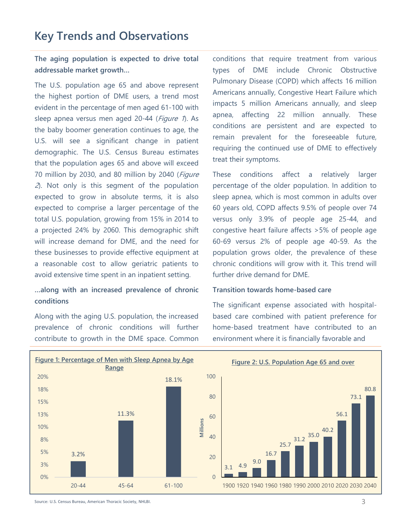## **Key Trends and Observations**

**The aging population is expected to drive total addressable market growth…**

The U.S. population age 65 and above represent the highest portion of DME users, a trend most evident in the percentage of men aged 61-100 with sleep apnea versus men aged 20-44 (Figure 1). As the baby boomer generation continues to age, the U.S. will see a significant change in patient demographic. The U.S. Census Bureau estimates that the population ages 65 and above will exceed 70 million by 2030, and 80 million by 2040 (Figure 2). Not only is this segment of the population expected to grow in absolute terms, it is also expected to comprise a larger percentage of the total U.S. population, growing from 15% in 2014 to a projected 24% by 2060. This demographic shift will increase demand for DME, and the need for these businesses to provide effective equipment at a reasonable cost to allow geriatric patients to avoid extensive time spent in an inpatient setting.

#### **…along with an increased prevalence of chronic conditions**

Along with the aging U.S. population, the increased prevalence of chronic conditions will further contribute to growth in the DME space. Common

conditions that require treatment from various types of DME include Chronic Obstructive Pulmonary Disease (COPD) which affects 16 million Americans annually, Congestive Heart Failure which impacts 5 million Americans annually, and sleep apnea, affecting 22 million annually. These conditions are persistent and are expected to remain prevalent for the foreseeable future, requiring the continued use of DME to effectively treat their symptoms.

These conditions affect a relatively larger percentage of the older population. In addition to sleep apnea, which is most common in adults over 60 years old, COPD affects 9.5% of people over 74 versus only 3.9% of people age 25-44, and congestive heart failure affects >5% of people age 60-69 versus 2% of people age 40-59. As the population grows older, the prevalence of these chronic conditions will grow with it. This trend will further drive demand for DME.

#### **Transition towards home-based care**

The significant expense associated with hospitalbased care combined with patient preference for home-based treatment have contributed to an environment where it is financially favorable and



80.8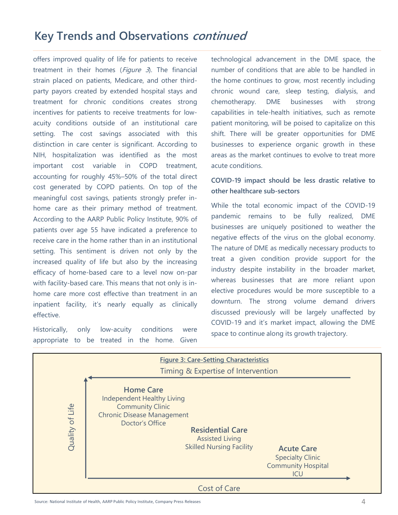# **Key Trends and Observations continued**

offers improved quality of life for patients to receive treatment in their homes ( $Figure 3$ ). The financial strain placed on patients, Medicare, and other thirdparty payors created by extended hospital stays and treatment for chronic conditions creates strong incentives for patients to receive treatments for lowacuity conditions outside of an institutional care setting. The cost savings associated with this distinction in care center is significant. According to NIH, hospitalization was identified as the most important cost variable in COPD treatment, accounting for roughly 45%–50% of the total direct cost generated by COPD patients. On top of the meaningful cost savings, patients strongly prefer inhome care as their primary method of treatment. According to the AARP Public Policy Institute, 90% of patients over age 55 have indicated a preference to receive care in the home rather than in an institutional setting. This sentiment is driven not only by the increased quality of life but also by the increasing efficacy of home-based care to a level now on-par with facility-based care. This means that not only is inhome care more cost effective than treatment in an inpatient facility, it's nearly equally as clinically effective.

Historically, only low-acuity conditions were appropriate to be treated in the home. Given technological advancement in the DME space, the number of conditions that are able to be handled in the home continues to grow, most recently including chronic wound care, sleep testing, dialysis, and chemotherapy. DME businesses with strong capabilities in tele-health initiatives, such as remote patient monitoring, will be poised to capitalize on this shift. There will be greater opportunities for DME businesses to experience organic growth in these areas as the market continues to evolve to treat more acute conditions.

### **COVID-19 impact should be less drastic relative to other healthcare sub-sectors**

While the total economic impact of the COVID-19 pandemic remains to be fully realized, DME businesses are uniquely positioned to weather the negative effects of the virus on the global economy. The nature of DME as medically necessary products to treat a given condition provide support for the industry despite instability in the broader market, whereas businesses that are more reliant upon elective procedures would be more susceptible to a downturn. The strong volume demand drivers discussed previously will be largely unaffected by COVID-19 and it's market impact, allowing the DME space to continue along its growth trajectory.



Source: National Institute of Health, AARP Public Policy Institute, Company Press Releases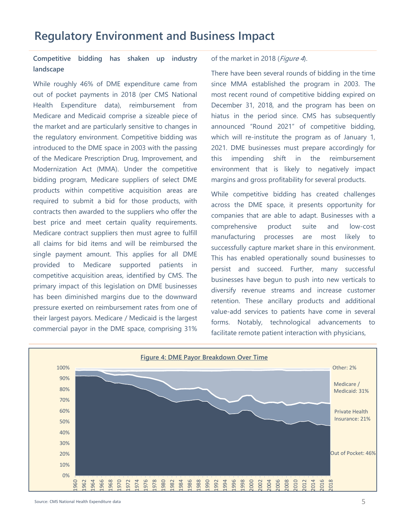### **Competitive bidding has shaken up industry landscape**

While roughly 46% of DME expenditure came from out of pocket payments in 2018 (per CMS National Health Expenditure data), reimbursement from Medicare and Medicaid comprise a sizeable piece of the market and are particularly sensitive to changes in the regulatory environment. Competitive bidding was introduced to the DME space in 2003 with the passing of the Medicare Prescription Drug, Improvement, and Modernization Act (MMA). Under the competitive bidding program, Medicare suppliers of select DME products within competitive acquisition areas are required to submit a bid for those products, with contracts then awarded to the suppliers who offer the best price and meet certain quality requirements. Medicare contract suppliers then must agree to fulfill all claims for bid items and will be reimbursed the single payment amount. This applies for all DME provided to Medicare supported patients in competitive acquisition areas, identified by CMS. The primary impact of this legislation on DME businesses has been diminished margins due to the downward pressure exerted on reimbursement rates from one of their largest payors. Medicare / Medicaid is the largest commercial payor in the DME space, comprising 31%

#### of the market in 2018 (Figure 4).

There have been several rounds of bidding in the time since MMA established the program in 2003. The most recent round of competitive bidding expired on December 31, 2018, and the program has been on hiatus in the period since. CMS has subsequently announced "Round 2021" of competitive bidding, which will re-institute the program as of January 1, 2021. DME businesses must prepare accordingly for this impending shift in the reimbursement environment that is likely to negatively impact margins and gross profitability for several products.

While competitive bidding has created challenges across the DME space, it presents opportunity for companies that are able to adapt. Businesses with a comprehensive product suite and low-cost manufacturing processes are most likely to successfully capture market share in this environment. This has enabled operationally sound businesses to persist and succeed. Further, many successful businesses have begun to push into new verticals to diversify revenue streams and increase customer retention. These ancillary products and additional value-add services to patients have come in several forms. Notably, technological advancements to facilitate remote patient interaction with physicians,

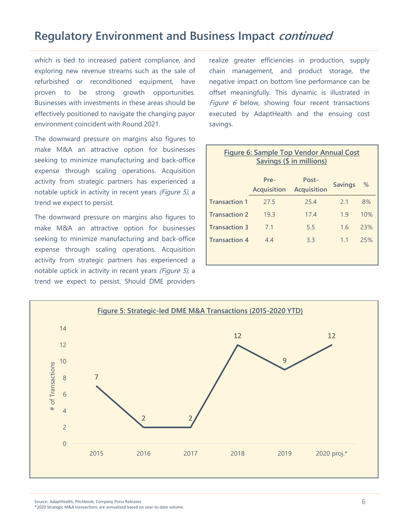# **Regulatory Environment and Business Impact continued**

which is tied to increased patient compliance, and exploring new revenue streams such as the sale of refurbished or reconditioned equipment, have proven to be strong growth opportunities. Businesses with investments in these areas should be effectively positioned to navigate the changing payor environment coincident with Round 2021.

The downward pressure on margins also figures to make M&A an attractive option for businesses seeking to minimize manufacturing and back-office expense through scaling operations. Acquisition activity from strategic partners has experienced a notable uptick in activity in recent years (Figure 5), a trend we expect to persist.

The downward pressure on margins also figures to make M&A an attractive option for businesses seeking to minimize manufacturing and back-office expense through scaling operations. Acquisition activity from strategic partners has experienced a notable uptick in activity in recent years (Figure 5), a trend we expect to persist. Should DME providers

realize greater efficiencies in production, supply chain management, and product storage, the negative impact on bottom line performance can be offset meaningfully. This dynamic is illustrated in Figure  $6$  below, showing four recent transactions executed by AdaptHealth and the ensuing cost savings.

| <b>Figure 6: Sample Top Vendor Annual Cost</b><br>Savings (\$ in millions) |                            |                             |                |     |  |
|----------------------------------------------------------------------------|----------------------------|-----------------------------|----------------|-----|--|
|                                                                            | Pre-<br><b>Acquisition</b> | Post-<br><b>Acquisition</b> | <b>Savings</b> | %   |  |
| <b>Transaction 1</b>                                                       | 27.5                       | 25.4                        | 2.1            | 8%  |  |
| <b>Transaction 2</b>                                                       | 19.3                       | 17.4                        | 1.9            | 10% |  |
| <b>Transaction 3</b>                                                       | 7.1                        | 5.5                         | 1.6            | 23% |  |
| <b>Transaction 4</b>                                                       | 4.4                        | 3.3                         | 1.1            | 25% |  |
|                                                                            |                            |                             |                |     |  |



\*2020 Strategic M&A transactions are annualized based on year-to-date volume.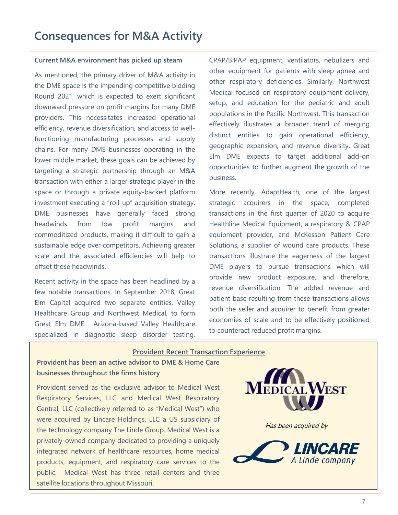#### **Current M&A environment has picked up steam**

As mentioned, the primary driver of M&A activity in the DME space is the impending competitive bidding Round 2021, which is expected to exert significant downward pressure on profit margins for many DME providers. This necessitates increased operational efficiency, revenue diversification, and access to wellfunctioning manufacturing processes and supply chains. For many DME businesses operating in the lower middle market, these goals can be achieved by targeting a strategic partnership through an M&A transaction with either a larger strategic player in the space or through a private equity-backed platform investment executing a "roll-up" acquisition strategy. DME businesses have generally faced strong headwinds from low profit margins and commoditized products, making it difficult to gain a sustainable edge over competitors. Achieving greater scale and the associated efficiencies will help to offset those headwinds.

Recent activity in the space has been headlined by a few notable transactions. In September 2018, Great Elm Capital acquired two separate entities, Valley Healthcare Group and Northwest Medical, to form Great Elm DME. Arizona-based Valley Healthcare specialized in diagnostic sleep disorder testing, CPAP/BIPAP equipment, ventilators, nebulizers and other equipment for patients with sleep apnea and other respiratory deficiencies. Similarly, Northwest Medical focused on respiratory equipment delivery, setup, and education for the pediatric and adult populations in the Pacific Northwest. This transaction effectively illustrates a broader trend of merging distinct entities to gain operational efficiency, geographic expansion, and revenue diversity. Great Elm DME expects to target additional add-on opportunities to further augment the growth of the business.

More recently, AdaptHealth, one of the largest strategic acquirers in the space, completed transactions in the first quarter of 2020 to acquire Healthline Medical Equipment, a respiratory & CPAP equipment provider, and McKesson Patient Care Solutions, a supplier of wound care products. These transactions illustrate the eagerness of the largest DME players to pursue transactions which will provide new product exposure, and therefore, revenue diversification. The added revenue and patient base resulting from these transactions allows both the seller and acquirer to benefit from greater economies of scale and to be effectively positioned to counteract reduced profit margins.

#### **Provident Recent Transaction Experience**

**Provident has been an active advisor to DME & Home Care businesses throughout the firms history**

Provident served as the exclusive advisor to Medical West Respiratory Services, LLC and Medical West Respiratory Central, LLC (collectively referred to as "Medical West") who were acquired by Lincare Holdings, LLC a US subsidiary of the technology company The Linde Group. Medical West is a privately-owned company dedicated to providing a uniquely integrated network of healthcare resources, home medical products, equipment, and respiratory care services to the public. Medical West has three retail centers and three satellite locations throughout Missouri.

**EDICAL WEST** 

Has been acquired by

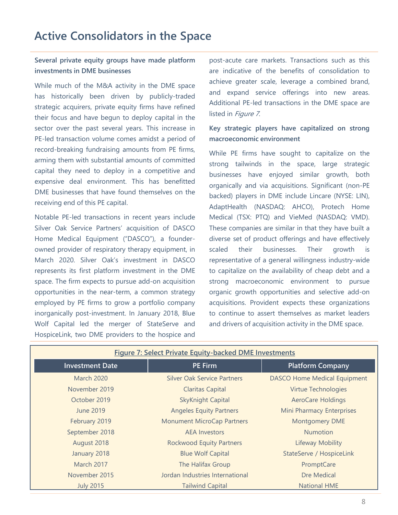## **Active Consolidators in the Space**

### **Several private equity groups have made platform investments in DME businesses**

While much of the M&A activity in the DME space has historically been driven by publicly-traded strategic acquirers, private equity firms have refined their focus and have begun to deploy capital in the sector over the past several years. This increase in PE-led transaction volume comes amidst a period of record-breaking fundraising amounts from PE firms, arming them with substantial amounts of committed capital they need to deploy in a competitive and expensive deal environment. This has benefitted DME businesses that have found themselves on the receiving end of this PE capital.

Notable PE-led transactions in recent years include Silver Oak Service Partners' acquisition of DASCO Home Medical Equipment ("DASCO"), a founderowned provider of respiratory therapy equipment, in March 2020. Silver Oak's investment in DASCO represents its first platform investment in the DME space. The firm expects to pursue add-on acquisition opportunities in the near-term, a common strategy employed by PE firms to grow a portfolio company inorganically post-investment. In January 2018, Blue Wolf Capital led the merger of StateServe and HospiceLink, two DME providers to the hospice and

post-acute care markets. Transactions such as this are indicative of the benefits of consolidation to achieve greater scale, leverage a combined brand, and expand service offerings into new areas. Additional PE-led transactions in the DME space are listed in Figure 7.

### **Key strategic players have capitalized on strong macroeconomic environment**

While PE firms have sought to capitalize on the strong tailwinds in the space, large strategic businesses have enjoyed similar growth, both organically and via acquisitions. Significant (non-PE backed) players in DME include Lincare (NYSE: LIN), AdaptHealth (NASDAQ: AHCO), Protech Home Medical (TSX: PTQ) and VieMed (NASDAQ: VMD). These companies are similar in that they have built a diverse set of product offerings and have effectively scaled their businesses. Their growth is representative of a general willingness industry-wide to capitalize on the availability of cheap debt and a strong macroeconomic environment to pursue organic growth opportunities and selective add-on acquisitions. Provident expects these organizations to continue to assert themselves as market leaders and drivers of acquisition activity in the DME space.

| <b>Figure 7: Select Private Equity-backed DME Investments</b> |                                    |                                     |  |  |
|---------------------------------------------------------------|------------------------------------|-------------------------------------|--|--|
| <b>Investment Date</b>                                        | <b>PE Firm</b>                     | <b>Platform Company</b>             |  |  |
| <b>March 2020</b>                                             | <b>Silver Oak Service Partners</b> | <b>DASCO Home Medical Equipment</b> |  |  |
| November 2019                                                 | <b>Claritas Capital</b>            | <b>Virtue Technologies</b>          |  |  |
| October 2019                                                  | <b>SkyKnight Capital</b>           | <b>AeroCare Holdings</b>            |  |  |
| June 2019                                                     | <b>Angeles Equity Partners</b>     | Mini Pharmacy Enterprises           |  |  |
| February 2019                                                 | <b>Monument MicroCap Partners</b>  | <b>Montgomery DME</b>               |  |  |
| September 2018                                                | <b>AEA</b> Investors               | <b>Numotion</b>                     |  |  |
| August 2018                                                   | <b>Rockwood Equity Partners</b>    | Lifeway Mobility                    |  |  |
| January 2018                                                  | <b>Blue Wolf Capital</b>           | StateServe / HospiceLink            |  |  |
| <b>March 2017</b>                                             | The Halifax Group                  | PromptCare                          |  |  |
| November 2015                                                 | Jordan Industries International    | Dre Medical                         |  |  |
| <b>July 2015</b>                                              | <b>Tailwind Capital</b>            | <b>National HME</b>                 |  |  |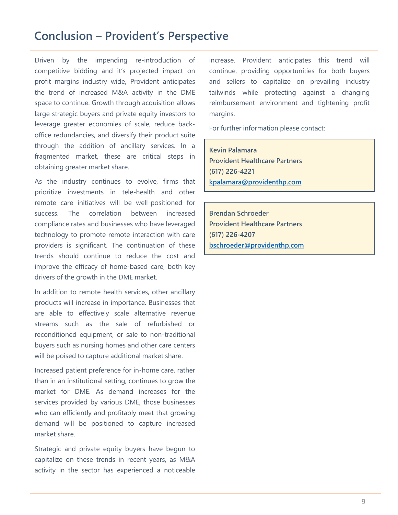### **Conclusion – Provident's Perspective**

Driven by the impending re-introduction of competitive bidding and it's projected impact on profit margins industry wide, Provident anticipates the trend of increased M&A activity in the DME space to continue. Growth through acquisition allows large strategic buyers and private equity investors to leverage greater economies of scale, reduce backoffice redundancies, and diversify their product suite through the addition of ancillary services. In a fragmented market, these are critical steps in obtaining greater market share.

As the industry continues to evolve, firms that prioritize investments in tele-health and other remote care initiatives will be well-positioned for success. The correlation between increased compliance rates and businesses who have leveraged technology to promote remote interaction with care providers is significant. The continuation of these trends should continue to reduce the cost and improve the efficacy of home-based care, both key drivers of the growth in the DME market.

In addition to remote health services, other ancillary products will increase in importance. Businesses that are able to effectively scale alternative revenue streams such as the sale of refurbished or reconditioned equipment, or sale to non-traditional buyers such as nursing homes and other care centers will be poised to capture additional market share.

Increased patient preference for in-home care, rather than in an institutional setting, continues to grow the market for DME. As demand increases for the services provided by various DME, those businesses who can efficiently and profitably meet that growing demand will be positioned to capture increased market share.

Strategic and private equity buyers have begun to capitalize on these trends in recent years, as M&A activity in the sector has experienced a noticeable increase. Provident anticipates this trend will continue, providing opportunities for both buyers and sellers to capitalize on prevailing industry tailwinds while protecting against a changing reimbursement environment and tightening profit margins.

For further information please contact:

**Kevin Palamara Provident Healthcare Partners (617) 226-4221 [kpalamara@providenthp.com](mailto:kpalamara@providenthp.com)**

**Brendan Schroeder Provident Healthcare Partners (617) 226-4207 [bschroeder@providenthp.com](mailto:emajor@providenthp.com)**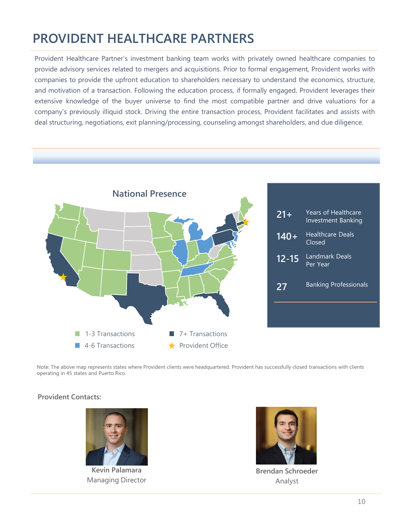# **PROVIDENT HEALTHCARE PARTNERS**

Provident Healthcare Partner's investment banking team works with privately owned healthcare companies to provide advisory services related to mergers and acquisitions. Prior to formal engagement, Provident works with companies to provide the upfront education to shareholders necessary to understand the economics, structure, and motivation of a transaction. Following the education process, if formally engaged, Provident leverages their extensive knowledge of the buyer universe to find the most compatible partner and drive valuations for a company's previously illiquid stock. Driving the entire transaction process, Provident facilitates and assists with deal structuring, negotiations, exit planning/processing, counseling amongst shareholders, and due diligence.



Note: The above map represents states where Provident clients were headquartered. Provident has successfully closed transactions with clients operating in 45 states and Puerto Rico.

#### **Provident Contacts:**



**Kevin Palamara** Managing Director



**Brendan Schroeder** Analyst